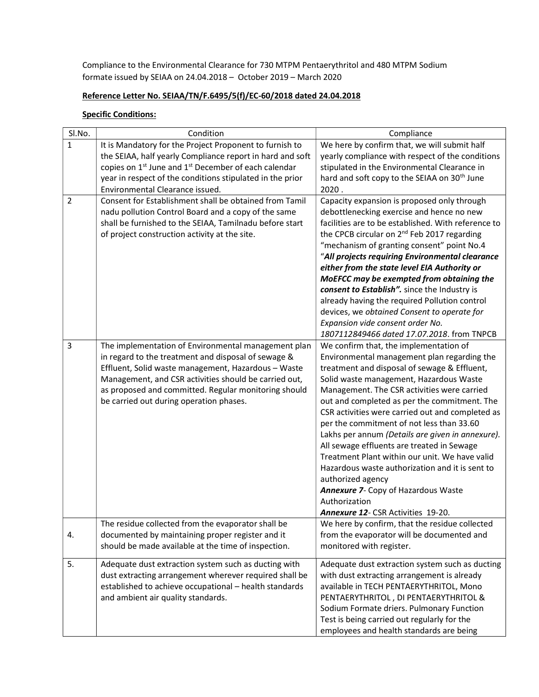Compliance to the Environmental Clearance for 730 MTPM Pentaerythritol and 480 MTPM Sodium formate issued by SEIAA on 24.04.2018 – October 2019 – March 2020

## Reference Letter No. SEIAA/TN/F.6495/5(f)/EC-60/2018 dated 24.04.2018

## **Specific Conditions:**

| Sl.No.         | Condition                                                                    | Compliance                                               |
|----------------|------------------------------------------------------------------------------|----------------------------------------------------------|
| $\mathbf{1}$   | It is Mandatory for the Project Proponent to furnish to                      | We here by confirm that, we will submit half             |
|                | the SEIAA, half yearly Compliance report in hard and soft                    | yearly compliance with respect of the conditions         |
|                | copies on 1 <sup>st</sup> June and 1 <sup>st</sup> December of each calendar | stipulated in the Environmental Clearance in             |
|                | year in respect of the conditions stipulated in the prior                    | hard and soft copy to the SEIAA on 30 <sup>th</sup> June |
|                | Environmental Clearance issued.                                              | 2020.                                                    |
| $\overline{2}$ | Consent for Establishment shall be obtained from Tamil                       | Capacity expansion is proposed only through              |
|                | nadu pollution Control Board and a copy of the same                          | debottlenecking exercise and hence no new                |
|                | shall be furnished to the SEIAA, Tamilnadu before start                      | facilities are to be established. With reference to      |
|                | of project construction activity at the site.                                | the CPCB circular on 2 <sup>nd</sup> Feb 2017 regarding  |
|                |                                                                              | "mechanism of granting consent" point No.4               |
|                |                                                                              | "All projects requiring Environmental clearance          |
|                |                                                                              | either from the state level EIA Authority or             |
|                |                                                                              | MoEFCC may be exempted from obtaining the                |
|                |                                                                              | consent to Establish". since the Industry is             |
|                |                                                                              | already having the required Pollution control            |
|                |                                                                              | devices, we obtained Consent to operate for              |
|                |                                                                              | Expansion vide consent order No.                         |
|                |                                                                              | 1807112849466 dated 17.07.2018. from TNPCB               |
| 3              | The implementation of Environmental management plan                          | We confirm that, the implementation of                   |
|                | in regard to the treatment and disposal of sewage &                          | Environmental management plan regarding the              |
|                | Effluent, Solid waste management, Hazardous - Waste                          | treatment and disposal of sewage & Effluent,             |
|                | Management, and CSR activities should be carried out,                        | Solid waste management, Hazardous Waste                  |
|                | as proposed and committed. Regular monitoring should                         | Management. The CSR activities were carried              |
|                | be carried out during operation phases.                                      | out and completed as per the commitment. The             |
|                |                                                                              | CSR activities were carried out and completed as         |
|                |                                                                              | per the commitment of not less than 33.60                |
|                |                                                                              | Lakhs per annum (Details are given in annexure).         |
|                |                                                                              | All sewage effluents are treated in Sewage               |
|                |                                                                              | Treatment Plant within our unit. We have valid           |
|                |                                                                              | Hazardous waste authorization and it is sent to          |
|                |                                                                              | authorized agency                                        |
|                |                                                                              | Annexure 7- Copy of Hazardous Waste<br>Authorization     |
|                |                                                                              | Annexure 12- CSR Activities 19-20.                       |
|                | The residue collected from the evaporator shall be                           | We here by confirm, that the residue collected           |
| 4.             | documented by maintaining proper register and it                             | from the evaporator will be documented and               |
|                | should be made available at the time of inspection.                          | monitored with register.                                 |
|                |                                                                              |                                                          |
| 5.             | Adequate dust extraction system such as ducting with                         | Adequate dust extraction system such as ducting          |
|                | dust extracting arrangement wherever required shall be                       | with dust extracting arrangement is already              |
|                | established to achieve occupational - health standards                       | available in TECH PENTAERYTHRITOL, Mono                  |
|                | and ambient air quality standards.                                           | PENTAERYTHRITOL, DI PENTAERYTHRITOL &                    |
|                |                                                                              | Sodium Formate driers. Pulmonary Function                |
|                |                                                                              | Test is being carried out regularly for the              |
|                |                                                                              | employees and health standards are being                 |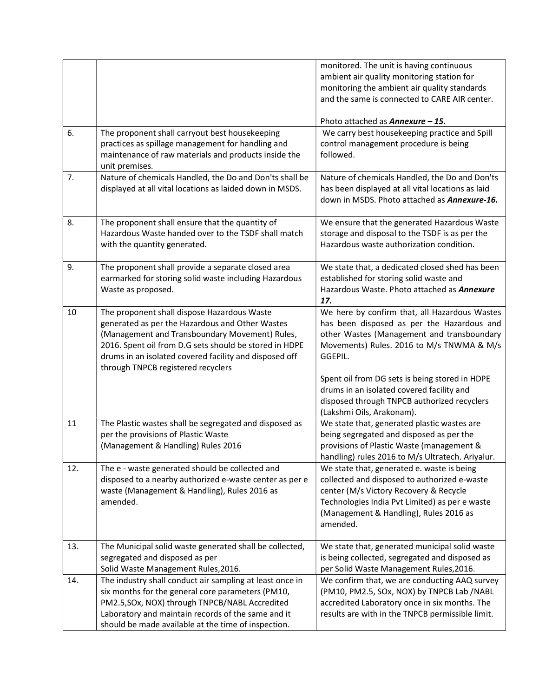|     |                                                                                                                                                                                                                                                                                                            | monitored. The unit is having continuous<br>ambient air quality monitoring station for                                                                                                                                                              |
|-----|------------------------------------------------------------------------------------------------------------------------------------------------------------------------------------------------------------------------------------------------------------------------------------------------------------|-----------------------------------------------------------------------------------------------------------------------------------------------------------------------------------------------------------------------------------------------------|
|     |                                                                                                                                                                                                                                                                                                            | monitoring the ambient air quality standards<br>and the same is connected to CARE AIR center.                                                                                                                                                       |
|     |                                                                                                                                                                                                                                                                                                            | Photo attached as <b>Annexure - 15.</b>                                                                                                                                                                                                             |
| 6.  | The proponent shall carryout best housekeeping<br>practices as spillage management for handling and<br>maintenance of raw materials and products inside the<br>unit premises.                                                                                                                              | We carry best housekeeping practice and Spill<br>control management procedure is being<br>followed.                                                                                                                                                 |
| 7.  | Nature of chemicals Handled, the Do and Don'ts shall be<br>displayed at all vital locations as laided down in MSDS.                                                                                                                                                                                        | Nature of chemicals Handled, the Do and Don'ts<br>has been displayed at all vital locations as laid<br>down in MSDS. Photo attached as Annexure-16.                                                                                                 |
| 8.  | The proponent shall ensure that the quantity of<br>Hazardous Waste handed over to the TSDF shall match<br>with the quantity generated.                                                                                                                                                                     | We ensure that the generated Hazardous Waste<br>storage and disposal to the TSDF is as per the<br>Hazardous waste authorization condition.                                                                                                          |
| 9.  | The proponent shall provide a separate closed area<br>earmarked for storing solid waste including Hazardous<br>Waste as proposed.                                                                                                                                                                          | We state that, a dedicated closed shed has been<br>established for storing solid waste and<br>Hazardous Waste. Photo attached as Annexure<br>17.                                                                                                    |
| 10  | The proponent shall dispose Hazardous Waste<br>generated as per the Hazardous and Other Wastes<br>(Management and Transboundary Movement) Rules,<br>2016. Spent oil from D.G sets should be stored in HDPE<br>drums in an isolated covered facility and disposed off<br>through TNPCB registered recyclers | We here by confirm that, all Hazardous Wastes<br>has been disposed as per the Hazardous and<br>other Wastes (Management and transboundary<br>Movements) Rules. 2016 to M/s TNWMA & M/s<br>GGEPIL.<br>Spent oil from DG sets is being stored in HDPE |
|     |                                                                                                                                                                                                                                                                                                            | drums in an isolated covered facility and<br>disposed through TNPCB authorized recyclers<br>(Lakshmi Oils, Arakonam).                                                                                                                               |
| 11  | The Plastic wastes shall be segregated and disposed as<br>per the provisions of Plastic Waste<br>(Management & Handling) Rules 2016                                                                                                                                                                        | We state that, generated plastic wastes are<br>being segregated and disposed as per the<br>provisions of Plastic Waste (management &<br>handling) rules 2016 to M/s Ultratech. Ariyalur.                                                            |
| 12. | The e - waste generated should be collected and<br>disposed to a nearby authorized e-waste center as per e<br>waste (Management & Handling), Rules 2016 as<br>amended.                                                                                                                                     | We state that, generated e. waste is being<br>collected and disposed to authorized e-waste<br>center (M/s Victory Recovery & Recycle<br>Technologies India Pvt Limited) as per e waste<br>(Management & Handling), Rules 2016 as<br>amended.        |
| 13. | The Municipal solid waste generated shall be collected,<br>segregated and disposed as per<br>Solid Waste Management Rules, 2016.                                                                                                                                                                           | We state that, generated municipal solid waste<br>is being collected, segregated and disposed as<br>per Solid Waste Management Rules, 2016.                                                                                                         |
| 14. | The industry shall conduct air sampling at least once in<br>six months for the general core parameters (PM10,<br>PM2.5, SOx, NOX) through TNPCB/NABL Accredited<br>Laboratory and maintain records of the same and it<br>should be made available at the time of inspection.                               | We confirm that, we are conducting AAQ survey<br>(PM10, PM2.5, SOx, NOX) by TNPCB Lab /NABL<br>accredited Laboratory once in six months. The<br>results are with in the TNPCB permissible limit.                                                    |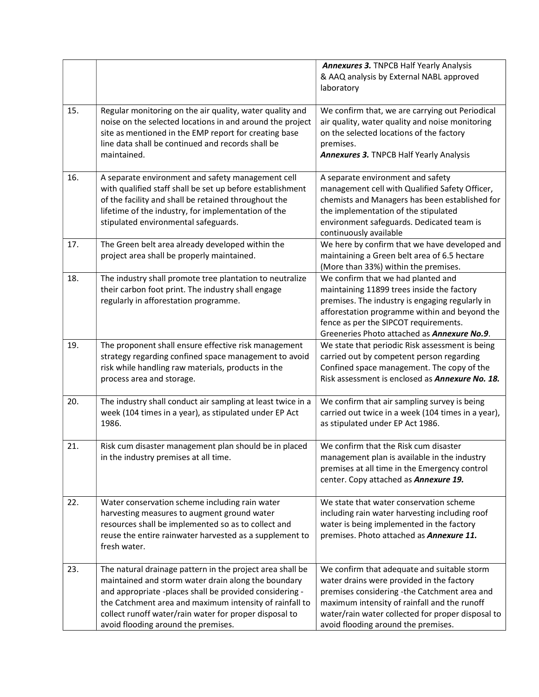|     |                                                                                                                                                                                                                                                                                                                                         | <b>Annexures 3. TNPCB Half Yearly Analysis</b><br>& AAQ analysis by External NABL approved<br>laboratory                                                                                                                                                                             |
|-----|-----------------------------------------------------------------------------------------------------------------------------------------------------------------------------------------------------------------------------------------------------------------------------------------------------------------------------------------|--------------------------------------------------------------------------------------------------------------------------------------------------------------------------------------------------------------------------------------------------------------------------------------|
| 15. | Regular monitoring on the air quality, water quality and<br>noise on the selected locations in and around the project<br>site as mentioned in the EMP report for creating base<br>line data shall be continued and records shall be<br>maintained.                                                                                      | We confirm that, we are carrying out Periodical<br>air quality, water quality and noise monitoring<br>on the selected locations of the factory<br>premises.<br><b>Annexures 3. TNPCB Half Yearly Analysis</b>                                                                        |
| 16. | A separate environment and safety management cell<br>with qualified staff shall be set up before establishment<br>of the facility and shall be retained throughout the<br>lifetime of the industry, for implementation of the<br>stipulated environmental safeguards.                                                                   | A separate environment and safety<br>management cell with Qualified Safety Officer,<br>chemists and Managers has been established for<br>the implementation of the stipulated<br>environment safeguards. Dedicated team is<br>continuously available                                 |
| 17. | The Green belt area already developed within the<br>project area shall be properly maintained.                                                                                                                                                                                                                                          | We here by confirm that we have developed and<br>maintaining a Green belt area of 6.5 hectare<br>(More than 33%) within the premises.                                                                                                                                                |
| 18. | The industry shall promote tree plantation to neutralize<br>their carbon foot print. The industry shall engage<br>regularly in afforestation programme.                                                                                                                                                                                 | We confirm that we had planted and<br>maintaining 11899 trees inside the factory<br>premises. The industry is engaging regularly in<br>afforestation programme within and beyond the<br>fence as per the SIPCOT requirements.<br>Greeneries Photo attached as Annexure No.9.         |
| 19. | The proponent shall ensure effective risk management<br>strategy regarding confined space management to avoid<br>risk while handling raw materials, products in the<br>process area and storage.                                                                                                                                        | We state that periodic Risk assessment is being<br>carried out by competent person regarding<br>Confined space management. The copy of the<br>Risk assessment is enclosed as Annexure No. 18.                                                                                        |
| 20. | The industry shall conduct air sampling at least twice in a<br>week (104 times in a year), as stipulated under EP Act<br>1986.                                                                                                                                                                                                          | We confirm that air sampling survey is being<br>carried out twice in a week (104 times in a year),<br>as stipulated under EP Act 1986.                                                                                                                                               |
| 21. | Risk cum disaster management plan should be in placed<br>in the industry premises at all time.                                                                                                                                                                                                                                          | We confirm that the Risk cum disaster<br>management plan is available in the industry<br>premises at all time in the Emergency control<br>center. Copy attached as Annexure 19.                                                                                                      |
| 22. | Water conservation scheme including rain water<br>harvesting measures to augment ground water<br>resources shall be implemented so as to collect and<br>reuse the entire rainwater harvested as a supplement to<br>fresh water.                                                                                                         | We state that water conservation scheme<br>including rain water harvesting including roof<br>water is being implemented in the factory<br>premises. Photo attached as Annexure 11.                                                                                                   |
| 23. | The natural drainage pattern in the project area shall be<br>maintained and storm water drain along the boundary<br>and appropriate -places shall be provided considering -<br>the Catchment area and maximum intensity of rainfall to<br>collect runoff water/rain water for proper disposal to<br>avoid flooding around the premises. | We confirm that adequate and suitable storm<br>water drains were provided in the factory<br>premises considering -the Catchment area and<br>maximum intensity of rainfall and the runoff<br>water/rain water collected for proper disposal to<br>avoid flooding around the premises. |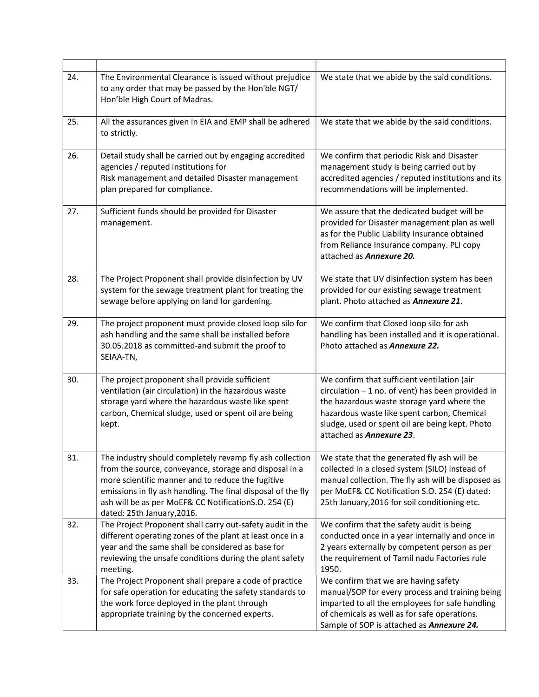| 24. | The Environmental Clearance is issued without prejudice<br>to any order that may be passed by the Hon'ble NGT/<br>Hon'ble High Court of Madras.                                                                                                                                                                                                                                   | We state that we abide by the said conditions.                                                                                                                                                                                                                                 |
|-----|-----------------------------------------------------------------------------------------------------------------------------------------------------------------------------------------------------------------------------------------------------------------------------------------------------------------------------------------------------------------------------------|--------------------------------------------------------------------------------------------------------------------------------------------------------------------------------------------------------------------------------------------------------------------------------|
| 25. | All the assurances given in EIA and EMP shall be adhered<br>to strictly.                                                                                                                                                                                                                                                                                                          | We state that we abide by the said conditions.                                                                                                                                                                                                                                 |
| 26. | Detail study shall be carried out by engaging accredited<br>agencies / reputed institutions for<br>Risk management and detailed Disaster management<br>plan prepared for compliance.                                                                                                                                                                                              | We confirm that periodic Risk and Disaster<br>management study is being carried out by<br>accredited agencies / reputed institutions and its<br>recommendations will be implemented.                                                                                           |
| 27. | Sufficient funds should be provided for Disaster<br>management.                                                                                                                                                                                                                                                                                                                   | We assure that the dedicated budget will be<br>provided for Disaster management plan as well<br>as for the Public Liability Insurance obtained<br>from Reliance Insurance company. PLI copy<br>attached as <b>Annexure 20.</b>                                                 |
| 28. | The Project Proponent shall provide disinfection by UV<br>system for the sewage treatment plant for treating the<br>sewage before applying on land for gardening.                                                                                                                                                                                                                 | We state that UV disinfection system has been<br>provided for our existing sewage treatment<br>plant. Photo attached as Annexure 21.                                                                                                                                           |
| 29. | The project proponent must provide closed loop silo for<br>ash handling and the same shall be installed before<br>30.05.2018 as committed-and submit the proof to<br>SEIAA-TN,                                                                                                                                                                                                    | We confirm that Closed loop silo for ash<br>handling has been installed and it is operational.<br>Photo attached as <b>Annexure 22.</b>                                                                                                                                        |
| 30. | The project proponent shall provide sufficient<br>ventilation (air circulation) in the hazardous waste<br>storage yard where the hazardous waste like spent<br>carbon, Chemical sludge, used or spent oil are being<br>kept.                                                                                                                                                      | We confirm that sufficient ventilation (air<br>$circulation - 1 no.$ of vent) has been provided in<br>the hazardous waste storage yard where the<br>hazardous waste like spent carbon, Chemical<br>sludge, used or spent oil are being kept. Photo<br>attached as Annexure 23. |
| 31. | The industry should completely revamp fly ash collection $\vert$ We state that the generated fly ash will be<br>from the source, conveyance, storage and disposal in a<br>more scientific manner and to reduce the fugitive<br>emissions in fly ash handling. The final disposal of the fly<br>ash will be as per MoEF& CC NotificationS.O. 254 (E)<br>dated: 25th January, 2016. | collected in a closed system (SILO) instead of<br>manual collection. The fly ash will be disposed as<br>per MoEF& CC Notification S.O. 254 (E) dated:<br>25th January, 2016 for soil conditioning etc.                                                                         |
| 32. | The Project Proponent shall carry out-safety audit in the<br>different operating zones of the plant at least once in a<br>year and the same shall be considered as base for<br>reviewing the unsafe conditions during the plant safety<br>meeting.                                                                                                                                | We confirm that the safety audit is being<br>conducted once in a year internally and once in<br>2 years externally by competent person as per<br>the requirement of Tamil nadu Factories rule<br>1950.                                                                         |
| 33. | The Project Proponent shall prepare a code of practice<br>for safe operation for educating the safety standards to<br>the work force deployed in the plant through<br>appropriate training by the concerned experts.                                                                                                                                                              | We confirm that we are having safety<br>manual/SOP for every process and training being<br>imparted to all the employees for safe handling<br>of chemicals as well as for safe operations.<br>Sample of SOP is attached as Annexure 24.                                        |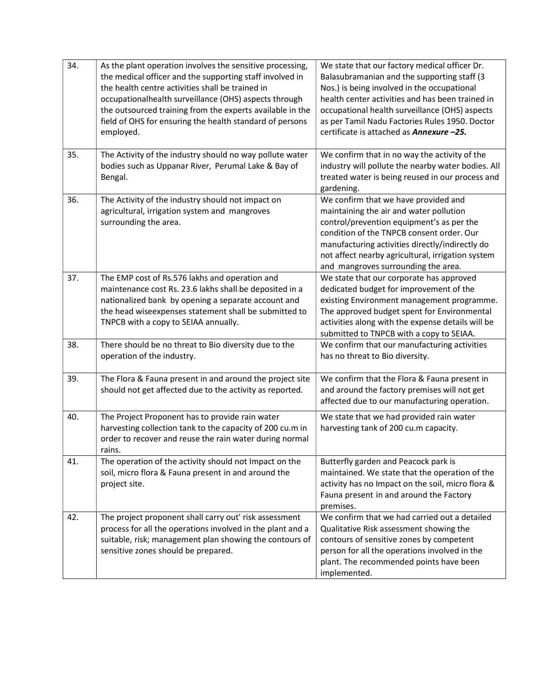| 34. | As the plant operation involves the sensitive processing,<br>the medical officer and the supporting staff involved in<br>the health centre activities shall be trained in<br>occupationalhealth surveillance (OHS) aspects through<br>the outsourced training from the experts available in the<br>field of OHS for ensuring the health standard of persons<br>employed. | We state that our factory medical officer Dr.<br>Balasubramanian and the supporting staff (3<br>Nos.) is being involved in the occupational<br>health center activities and has been trained in<br>occupational health surveillance (OHS) aspects<br>as per Tamil Nadu Factories Rules 1950. Doctor<br>certificate is attached as <b>Annexure -25.</b> |
|-----|--------------------------------------------------------------------------------------------------------------------------------------------------------------------------------------------------------------------------------------------------------------------------------------------------------------------------------------------------------------------------|--------------------------------------------------------------------------------------------------------------------------------------------------------------------------------------------------------------------------------------------------------------------------------------------------------------------------------------------------------|
| 35. | The Activity of the industry should no way pollute water<br>bodies such as Uppanar River, Perumal Lake & Bay of<br>Bengal.                                                                                                                                                                                                                                               | We confirm that in no way the activity of the<br>industry will pollute the nearby water bodies. All<br>treated water is being reused in our process and<br>gardening.                                                                                                                                                                                  |
| 36. | The Activity of the industry should not impact on<br>agricultural, irrigation system and mangroves<br>surrounding the area.                                                                                                                                                                                                                                              | We confirm that we have provided and<br>maintaining the air and water pollution<br>control/prevention equipment's as per the<br>condition of the TNPCB consent order. Our<br>manufacturing activities directly/indirectly do<br>not affect nearby agricultural, irrigation system<br>and mangroves surrounding the area.                               |
| 37. | The EMP cost of Rs.576 lakhs and operation and<br>maintenance cost Rs. 23.6 lakhs shall be deposited in a<br>nationalized bank by opening a separate account and<br>the head wiseexpenses statement shall be submitted to<br>TNPCB with a copy to SEIAA annually.                                                                                                        | We state that our corporate has approved<br>dedicated budget for improvement of the<br>existing Environment management programme.<br>The approved budget spent for Environmental<br>activities along with the expense details will be<br>submitted to TNPCB with a copy to SEIAA.                                                                      |
| 38. | There should be no threat to Bio diversity due to the<br>operation of the industry.                                                                                                                                                                                                                                                                                      | We confirm that our manufacturing activities<br>has no threat to Bio diversity.                                                                                                                                                                                                                                                                        |
| 39. | The Flora & Fauna present in and around the project site<br>should not get affected due to the activity as reported.                                                                                                                                                                                                                                                     | We confirm that the Flora & Fauna present in<br>and around the factory premises will not get<br>affected due to our manufacturing operation.                                                                                                                                                                                                           |
| 40. | The Project Proponent has to provide rain water<br>harvesting collection tank to the capacity of 200 cu.m in<br>order to recover and reuse the rain water during normal<br>rains.                                                                                                                                                                                        | We state that we had provided rain water<br>harvesting tank of 200 cu.m capacity.                                                                                                                                                                                                                                                                      |
| 41. | The operation of the activity should not Impact on the<br>soil, micro flora & Fauna present in and around the<br>project site.                                                                                                                                                                                                                                           | Butterfly garden and Peacock park is<br>maintained. We state that the operation of the<br>activity has no Impact on the soil, micro flora &<br>Fauna present in and around the Factory<br>premises.                                                                                                                                                    |
| 42. | The project proponent shall carry out' risk assessment<br>process for all the operations involved in the plant and a<br>suitable, risk; management plan showing the contours of<br>sensitive zones should be prepared.                                                                                                                                                   | We confirm that we had carried out a detailed<br>Qualitative Risk assessment showing the<br>contours of sensitive zones by competent<br>person for all the operations involved in the<br>plant. The recommended points have been<br>implemented.                                                                                                       |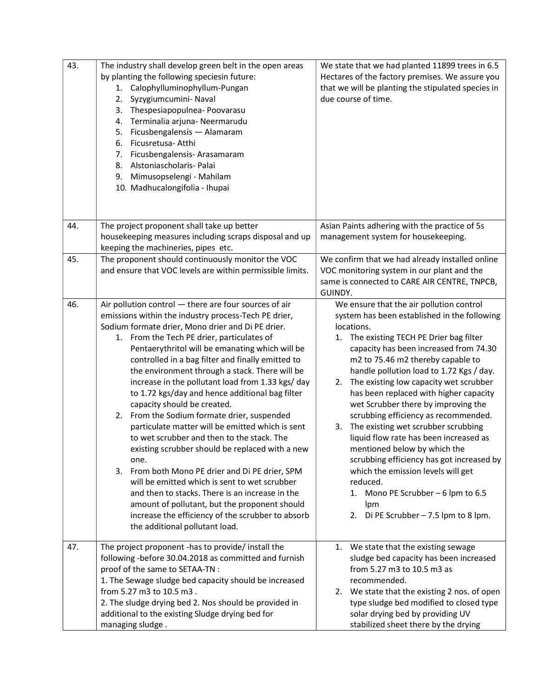| 43. | The industry shall develop green belt in the open areas                                             | We state that we had planted 11899 trees in 6.5                               |
|-----|-----------------------------------------------------------------------------------------------------|-------------------------------------------------------------------------------|
|     | by planting the following speciesin future:                                                         | Hectares of the factory premises. We assure you                               |
|     | 1. Calophylluminophyllum-Pungan                                                                     | that we will be planting the stipulated species in                            |
|     | Syzygiumcumini- Naval<br>2.                                                                         | due course of time.                                                           |
|     | 3. Thespesiapopulnea-Poovarasu                                                                      |                                                                               |
|     | 4. Terminalia arjuna- Neermarudu                                                                    |                                                                               |
|     | 5. Ficusbengalensis - Alamaram                                                                      |                                                                               |
|     | Ficusretusa- Atthi<br>6.                                                                            |                                                                               |
|     | 7. Ficusbengalensis-Arasamaram<br>8. Alstoniascholaris- Palai                                       |                                                                               |
|     | Mimusopselengi - Mahilam<br>9.                                                                      |                                                                               |
|     | 10. Madhucalongifolia - Ihupai                                                                      |                                                                               |
|     |                                                                                                     |                                                                               |
|     |                                                                                                     |                                                                               |
| 44. | The project proponent shall take up better                                                          | Asian Paints adhering with the practice of 5s                                 |
|     | housekeeping measures including scraps disposal and up                                              | management system for housekeeping.                                           |
|     | keeping the machineries, pipes etc.                                                                 |                                                                               |
| 45. | The proponent should continuously monitor the VOC                                                   | We confirm that we had already installed online                               |
|     | and ensure that VOC levels are within permissible limits.                                           | VOC monitoring system in our plant and the                                    |
|     |                                                                                                     | same is connected to CARE AIR CENTRE, TNPCB,                                  |
|     |                                                                                                     | GUINDY.                                                                       |
| 46. | Air pollution control - there are four sources of air                                               | We ensure that the air pollution control                                      |
|     | emissions within the industry process-Tech PE drier,                                                | system has been established in the following                                  |
|     | Sodium formate drier, Mono drier and Di PE drier.                                                   | locations.                                                                    |
|     | 1. From the Tech PE drier, particulates of                                                          | 1. The existing TECH PE Drier bag filter                                      |
|     | Pentaerythritol will be emanating which will be                                                     | capacity has been increased from 74.30                                        |
|     | controlled in a bag filter and finally emitted to<br>the environment through a stack. There will be | m2 to 75.46 m2 thereby capable to<br>handle pollution load to 1.72 Kgs / day. |
|     | increase in the pollutant load from 1.33 kgs/ day                                                   | 2. The existing low capacity wet scrubber                                     |
|     | to 1.72 kgs/day and hence additional bag filter                                                     | has been replaced with higher capacity                                        |
|     | capacity should be created.                                                                         | wet Scrubber there by improving the                                           |
|     | 2. From the Sodium formate drier, suspended                                                         | scrubbing efficiency as recommended.                                          |
|     | particulate matter will be emitted which is sent                                                    | The existing wet scrubber scrubbing<br>3.                                     |
|     | to wet scrubber and then to the stack. The                                                          | liquid flow rate has been increased as                                        |
|     | existing scrubber should be replaced with a new                                                     | mentioned below by which the                                                  |
|     | one.                                                                                                | scrubbing efficiency has got increased by                                     |
|     | 3.<br>From both Mono PE drier and Di PE drier, SPM                                                  | which the emission levels will get                                            |
|     | will be emitted which is sent to wet scrubber                                                       | reduced.                                                                      |
|     | and then to stacks. There is an increase in the                                                     | 1. Mono PE Scrubber - 6 lpm to 6.5                                            |
|     | amount of pollutant, but the proponent should                                                       | lpm                                                                           |
|     | increase the efficiency of the scrubber to absorb                                                   | 2. Di PE Scrubber $-7.5$ lpm to 8 lpm.                                        |
|     | the additional pollutant load.                                                                      |                                                                               |
| 47. | The project proponent -has to provide/ install the                                                  | 1. We state that the existing sewage                                          |
|     | following -before 30.04.2018 as committed and furnish                                               | sludge bed capacity has been increased                                        |
|     | proof of the same to SETAA-TN :                                                                     | from 5.27 m3 to 10.5 m3 as                                                    |
|     | 1. The Sewage sludge bed capacity should be increased                                               | recommended.                                                                  |
|     | from 5.27 m3 to 10.5 m3.                                                                            | 2. We state that the existing 2 nos. of open                                  |
|     | 2. The sludge drying bed 2. Nos should be provided in                                               | type sludge bed modified to closed type                                       |
|     | additional to the existing Sludge drying bed for                                                    | solar drying bed by providing UV                                              |
|     | managing sludge.                                                                                    | stabilized sheet there by the drying                                          |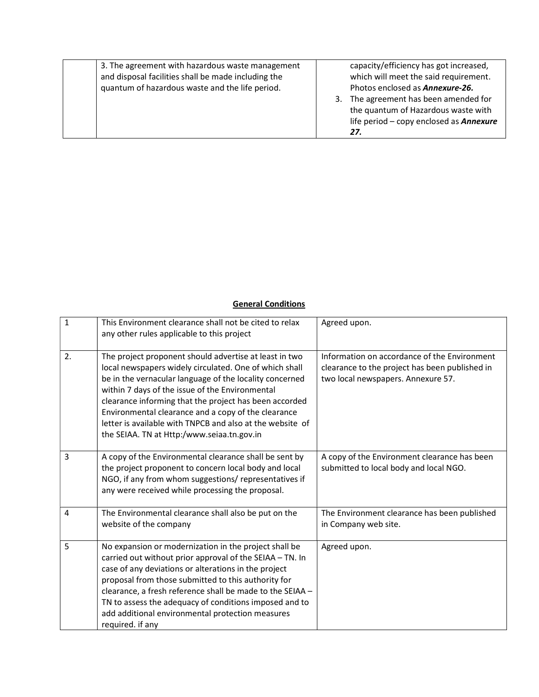| 3. The agreement with hazardous waste management<br>and disposal facilities shall be made including the<br>quantum of hazardous waste and the life period. | 3. | capacity/efficiency has got increased,<br>which will meet the said requirement.<br>Photos enclosed as <b>Annexure-26.</b><br>The agreement has been amended for<br>the quantum of Hazardous waste with<br>life period - copy enclosed as <b>Annexure</b> |
|------------------------------------------------------------------------------------------------------------------------------------------------------------|----|----------------------------------------------------------------------------------------------------------------------------------------------------------------------------------------------------------------------------------------------------------|
|                                                                                                                                                            |    | 27.                                                                                                                                                                                                                                                      |

## **General Conditions**

| $\mathbf{1}$   | This Environment clearance shall not be cited to relax<br>any other rules applicable to this project                                                                                                                                                                                                                                                                                                                                                       | Agreed upon.                                                                                                                         |
|----------------|------------------------------------------------------------------------------------------------------------------------------------------------------------------------------------------------------------------------------------------------------------------------------------------------------------------------------------------------------------------------------------------------------------------------------------------------------------|--------------------------------------------------------------------------------------------------------------------------------------|
| 2.             | The project proponent should advertise at least in two<br>local newspapers widely circulated. One of which shall<br>be in the vernacular language of the locality concerned<br>within 7 days of the issue of the Environmental<br>clearance informing that the project has been accorded<br>Environmental clearance and a copy of the clearance<br>letter is available with TNPCB and also at the website of<br>the SEIAA. TN at Http:/www.seiaa.tn.gov.in | Information on accordance of the Environment<br>clearance to the project has been published in<br>two local newspapers. Annexure 57. |
| 3              | A copy of the Environmental clearance shall be sent by<br>the project proponent to concern local body and local<br>NGO, if any from whom suggestions/ representatives if<br>any were received while processing the proposal.                                                                                                                                                                                                                               | A copy of the Environment clearance has been<br>submitted to local body and local NGO.                                               |
| $\overline{4}$ | The Environmental clearance shall also be put on the<br>website of the company                                                                                                                                                                                                                                                                                                                                                                             | The Environment clearance has been published<br>in Company web site.                                                                 |
| 5              | No expansion or modernization in the project shall be<br>carried out without prior approval of the SEIAA - TN. In<br>case of any deviations or alterations in the project<br>proposal from those submitted to this authority for<br>clearance, a fresh reference shall be made to the SEIAA -<br>TN to assess the adequacy of conditions imposed and to<br>add additional environmental protection measures<br>required. if any                            | Agreed upon.                                                                                                                         |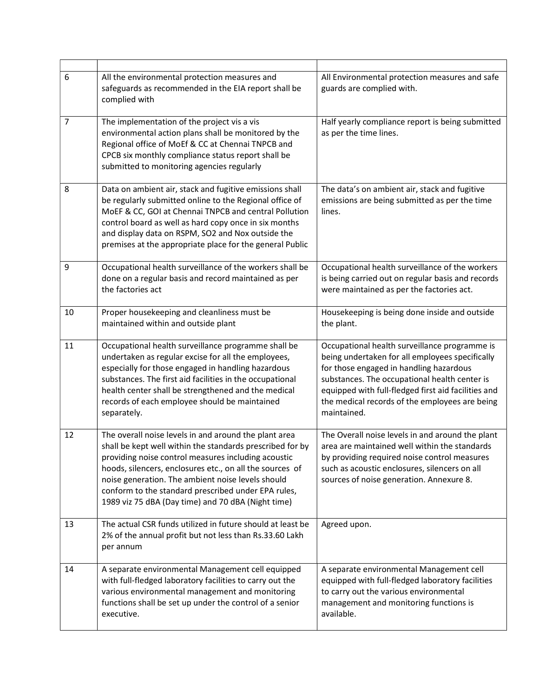| 6              | All the environmental protection measures and<br>safeguards as recommended in the EIA report shall be<br>complied with                                                                                                                                                                                                                                                                                  | All Environmental protection measures and safe<br>guards are complied with.                                                                                                                                                                                                                                          |
|----------------|---------------------------------------------------------------------------------------------------------------------------------------------------------------------------------------------------------------------------------------------------------------------------------------------------------------------------------------------------------------------------------------------------------|----------------------------------------------------------------------------------------------------------------------------------------------------------------------------------------------------------------------------------------------------------------------------------------------------------------------|
| $\overline{7}$ | The implementation of the project vis a vis<br>environmental action plans shall be monitored by the<br>Regional office of MoEf & CC at Chennai TNPCB and<br>CPCB six monthly compliance status report shall be<br>submitted to monitoring agencies regularly                                                                                                                                            | Half yearly compliance report is being submitted<br>as per the time lines.                                                                                                                                                                                                                                           |
| 8              | Data on ambient air, stack and fugitive emissions shall<br>be regularly submitted online to the Regional office of<br>MoEF & CC, GOI at Chennai TNPCB and central Pollution<br>control board as well as hard copy once in six months<br>and display data on RSPM, SO2 and Nox outside the<br>premises at the appropriate place for the general Public                                                   | The data's on ambient air, stack and fugitive<br>emissions are being submitted as per the time<br>lines.                                                                                                                                                                                                             |
| 9              | Occupational health surveillance of the workers shall be<br>done on a regular basis and record maintained as per<br>the factories act                                                                                                                                                                                                                                                                   | Occupational health surveillance of the workers<br>is being carried out on regular basis and records<br>were maintained as per the factories act.                                                                                                                                                                    |
| 10             | Proper housekeeping and cleanliness must be<br>maintained within and outside plant                                                                                                                                                                                                                                                                                                                      | Housekeeping is being done inside and outside<br>the plant.                                                                                                                                                                                                                                                          |
| 11             | Occupational health surveillance programme shall be<br>undertaken as regular excise for all the employees,<br>especially for those engaged in handling hazardous<br>substances. The first aid facilities in the occupational<br>health center shall be strengthened and the medical<br>records of each employee should be maintained<br>separately.                                                     | Occupational health surveillance programme is<br>being undertaken for all employees specifically<br>for those engaged in handling hazardous<br>substances. The occupational health center is<br>equipped with full-fledged first aid facilities and<br>the medical records of the employees are being<br>maintained. |
| 12             | The overall noise levels in and around the plant area<br>shall be kept well within the standards prescribed for by<br>providing noise control measures including acoustic<br>hoods, silencers, enclosures etc., on all the sources of<br>noise generation. The ambient noise levels should<br>conform to the standard prescribed under EPA rules,<br>1989 viz 75 dBA (Day time) and 70 dBA (Night time) | The Overall noise levels in and around the plant<br>area are maintained well within the standards<br>by providing required noise control measures<br>such as acoustic enclosures, silencers on all<br>sources of noise generation. Annexure 8.                                                                       |
| 13             | The actual CSR funds utilized in future should at least be<br>2% of the annual profit but not less than Rs.33.60 Lakh<br>per annum                                                                                                                                                                                                                                                                      | Agreed upon.                                                                                                                                                                                                                                                                                                         |
| 14             | A separate environmental Management cell equipped<br>with full-fledged laboratory facilities to carry out the<br>various environmental management and monitoring<br>functions shall be set up under the control of a senior<br>executive.                                                                                                                                                               | A separate environmental Management cell<br>equipped with full-fledged laboratory facilities<br>to carry out the various environmental<br>management and monitoring functions is<br>available.                                                                                                                       |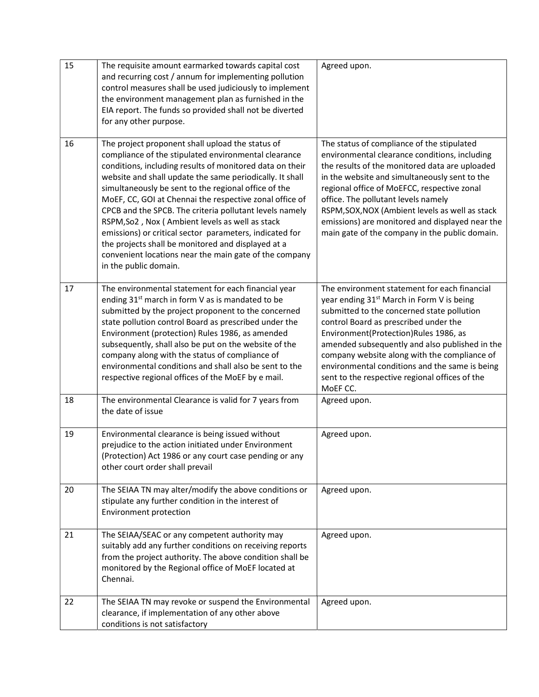| 15 | The requisite amount earmarked towards capital cost<br>and recurring cost / annum for implementing pollution<br>control measures shall be used judiciously to implement<br>the environment management plan as furnished in the<br>EIA report. The funds so provided shall not be diverted<br>for any other purpose.                                                                                                                                                                                                                                                                                                                                                   | Agreed upon.                                                                                                                                                                                                                                                                                                                                                                                                                                            |
|----|-----------------------------------------------------------------------------------------------------------------------------------------------------------------------------------------------------------------------------------------------------------------------------------------------------------------------------------------------------------------------------------------------------------------------------------------------------------------------------------------------------------------------------------------------------------------------------------------------------------------------------------------------------------------------|---------------------------------------------------------------------------------------------------------------------------------------------------------------------------------------------------------------------------------------------------------------------------------------------------------------------------------------------------------------------------------------------------------------------------------------------------------|
| 16 | The project proponent shall upload the status of<br>compliance of the stipulated environmental clearance<br>conditions, including results of monitored data on their<br>website and shall update the same periodically. It shall<br>simultaneously be sent to the regional office of the<br>MoEF, CC, GOI at Chennai the respective zonal office of<br>CPCB and the SPCB. The criteria pollutant levels namely<br>RSPM, So2, Nox (Ambient levels as well as stack<br>emissions) or critical sector parameters, indicated for<br>the projects shall be monitored and displayed at a<br>convenient locations near the main gate of the company<br>in the public domain. | The status of compliance of the stipulated<br>environmental clearance conditions, including<br>the results of the monitored data are uploaded<br>in the website and simultaneously sent to the<br>regional office of MoEFCC, respective zonal<br>office. The pollutant levels namely<br>RSPM, SOX, NOX (Ambient levels as well as stack<br>emissions) are monitored and displayed near the<br>main gate of the company in the public domain.            |
| 17 | The environmental statement for each financial year<br>ending 31 <sup>st</sup> march in form V as is mandated to be<br>submitted by the project proponent to the concerned<br>state pollution control Board as prescribed under the<br>Environment (protection) Rules 1986, as amended<br>subsequently, shall also be put on the website of the<br>company along with the status of compliance of<br>environmental conditions and shall also be sent to the<br>respective regional offices of the MoEF by e mail.                                                                                                                                                     | The environment statement for each financial<br>year ending 31 <sup>st</sup> March in Form V is being<br>submitted to the concerned state pollution<br>control Board as prescribed under the<br>Environment(Protection)Rules 1986, as<br>amended subsequently and also published in the<br>company website along with the compliance of<br>environmental conditions and the same is being<br>sent to the respective regional offices of the<br>MoEF CC. |
| 18 | The environmental Clearance is valid for 7 years from<br>the date of issue                                                                                                                                                                                                                                                                                                                                                                                                                                                                                                                                                                                            | Agreed upon.                                                                                                                                                                                                                                                                                                                                                                                                                                            |
| 19 | Environmental clearance is being issued without<br>prejudice to the action initiated under Environment<br>(Protection) Act 1986 or any court case pending or any<br>other court order shall prevail                                                                                                                                                                                                                                                                                                                                                                                                                                                                   | Agreed upon.                                                                                                                                                                                                                                                                                                                                                                                                                                            |
| 20 | The SEIAA TN may alter/modify the above conditions or<br>stipulate any further condition in the interest of<br>Environment protection                                                                                                                                                                                                                                                                                                                                                                                                                                                                                                                                 | Agreed upon.                                                                                                                                                                                                                                                                                                                                                                                                                                            |
| 21 | The SEIAA/SEAC or any competent authority may<br>suitably add any further conditions on receiving reports<br>from the project authority. The above condition shall be<br>monitored by the Regional office of MoEF located at<br>Chennai.                                                                                                                                                                                                                                                                                                                                                                                                                              | Agreed upon.                                                                                                                                                                                                                                                                                                                                                                                                                                            |
| 22 | The SEIAA TN may revoke or suspend the Environmental<br>clearance, if implementation of any other above<br>conditions is not satisfactory                                                                                                                                                                                                                                                                                                                                                                                                                                                                                                                             | Agreed upon.                                                                                                                                                                                                                                                                                                                                                                                                                                            |